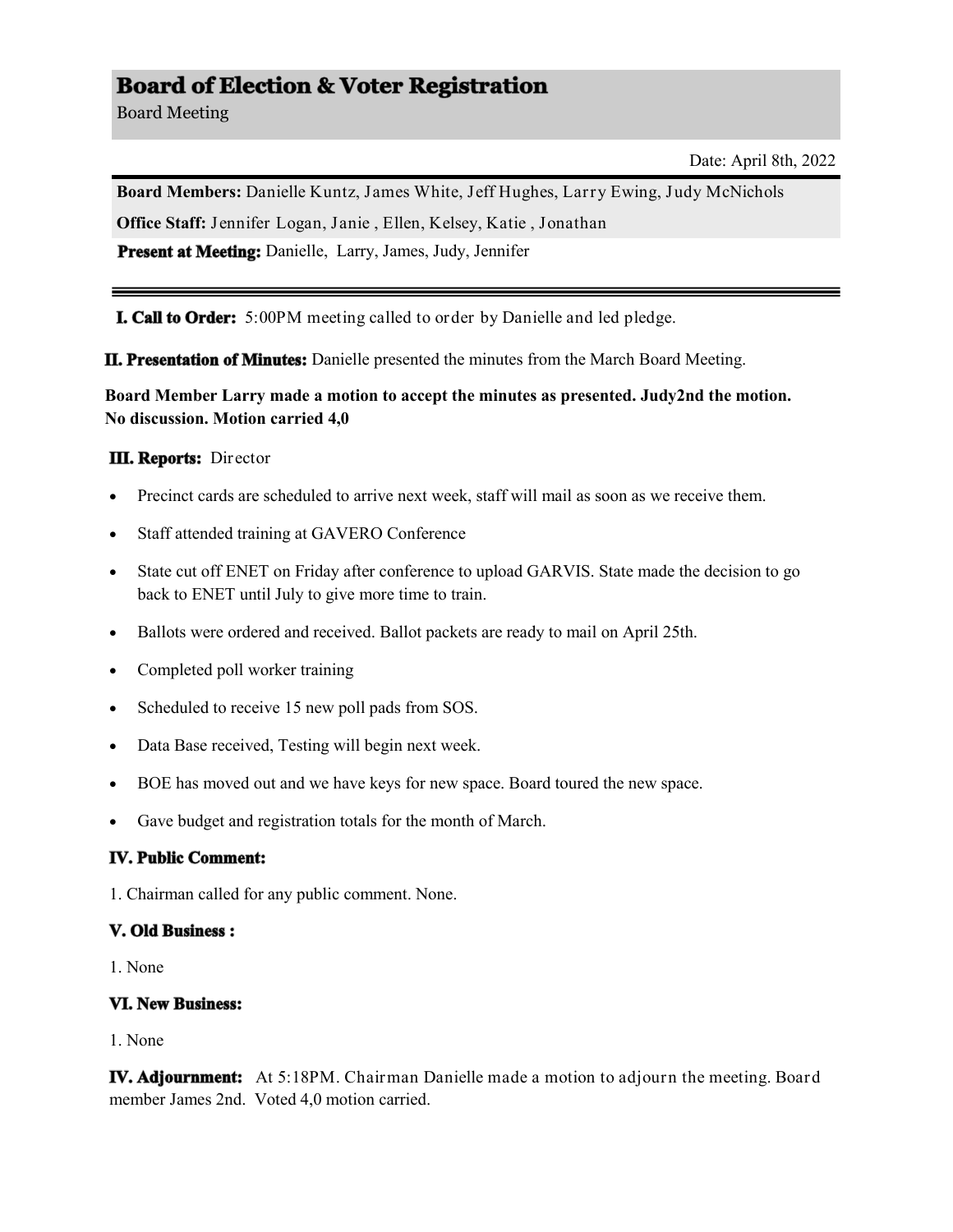# **Board of Election & Voter Registration**

Board Meeting

Date: April 8th, 2022

**Board Members:** Danielle Kuntz, James White, Jeff Hughes, Larry Ewing, Judy McNichols **Office Staff:** Jennifer Logan, Janie , Ellen, Kelsey, Katie , Jonathan

Present at Meeting: Danielle, Larry, James, Judy, Jennifer

**I. Call to Order:** 5:00PM meeting called to order by Danielle and led pledge.

**II. Presentation of Minutes:** Danielle presented the minutes from the March Board Meeting.

**Board Member Larry made a motion to accept the minutes as presented. Judy2nd the motion. No discussion. Motion carried 4,0** 

# **III. Reports:** Director

- Precinct cards are scheduled to arrive next week, staff will mail as soon as we receive them.
- Staff attended training at GAVERO Conference
- State cut off ENET on Friday after conference to upload GARVIS. State made the decision to go back to ENET until July to give more time to train.
- Ballots were ordered and received. Ballot packets are ready to mail on April 25th.
- Completed poll worker training
- Scheduled to receive 15 new poll pads from SOS.
- Data Base received, Testing will begin next week.
- BOE has moved out and we have keys for new space. Board toured the new space.
- Gave budget and registration totals for the month of March.

### **IV. Public Comment:**

1. Chairman called for any public comment. None.

### **V. Old Business:**

1. None

# **VI. New Business:**

1. None

**IV. Adjournment:** At 5:18PM. Chairman Danielle made a motion to adjourn the meeting. Board member James 2nd. Voted 4,0 motion carried.